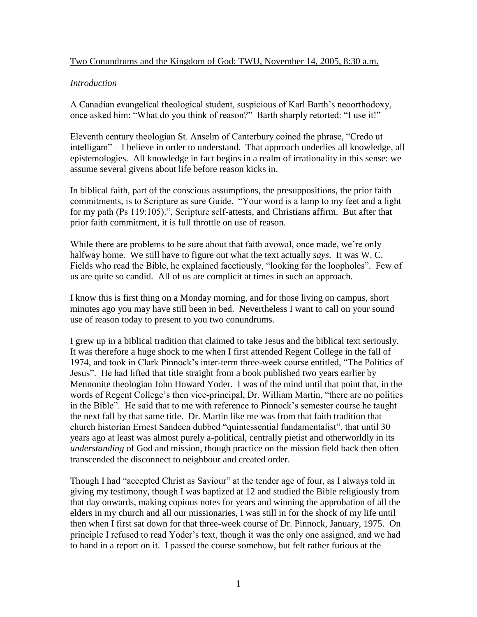## Two Conundrums and the Kingdom of God: TWU, November 14, 2005, 8:30 a.m.

## *Introduction*

A Canadian evangelical theological student, suspicious of Karl Barth's neoorthodoxy, once asked him: "What do you think of reason?" Barth sharply retorted: "I use it!"

Eleventh century theologian St. Anselm of Canterbury coined the phrase, "Credo ut intelligam" – I believe in order to understand. That approach underlies all knowledge, all epistemologies. All knowledge in fact begins in a realm of irrationality in this sense: we assume several givens about life before reason kicks in.

In biblical faith, part of the conscious assumptions, the presuppositions, the prior faith commitments, is to Scripture as sure Guide. "Your word is a lamp to my feet and a light for my path (Ps 119:105).", Scripture self-attests, and Christians affirm. But after that prior faith commitment, it is full throttle on use of reason.

While there are problems to be sure about that faith avowal, once made, we're only halfway home. We still have to figure out what the text actually *says*. It was W. C. Fields who read the Bible, he explained facetiously, "looking for the loopholes". Few of us are quite so candid. All of us are complicit at times in such an approach.

I know this is first thing on a Monday morning, and for those living on campus, short minutes ago you may have still been in bed. Nevertheless I want to call on your sound use of reason today to present to you two conundrums.

I grew up in a biblical tradition that claimed to take Jesus and the biblical text seriously. It was therefore a huge shock to me when I first attended Regent College in the fall of 1974, and took in Clark Pinnock's inter-term three-week course entitled, "The Politics of Jesus". He had lifted that title straight from a book published two years earlier by Mennonite theologian John Howard Yoder. I was of the mind until that point that, in the words of Regent College's then vice-principal, Dr. William Martin, "there are no politics in the Bible". He said that to me with reference to Pinnock's semester course he taught the next fall by that same title. Dr. Martin like me was from that faith tradition that church historian Ernest Sandeen dubbed "quintessential fundamentalist", that until 30 years ago at least was almost purely a-political, centrally pietist and otherworldly in its *understanding* of God and mission, though practice on the mission field back then often transcended the disconnect to neighbour and created order.

Though I had "accepted Christ as Saviour" at the tender age of four, as I always told in giving my testimony, though I was baptized at 12 and studied the Bible religiously from that day onwards, making copious notes for years and winning the approbation of all the elders in my church and all our missionaries, I was still in for the shock of my life until then when I first sat down for that three-week course of Dr. Pinnock, January, 1975. On principle I refused to read Yoder's text, though it was the only one assigned, and we had to hand in a report on it. I passed the course somehow, but felt rather furious at the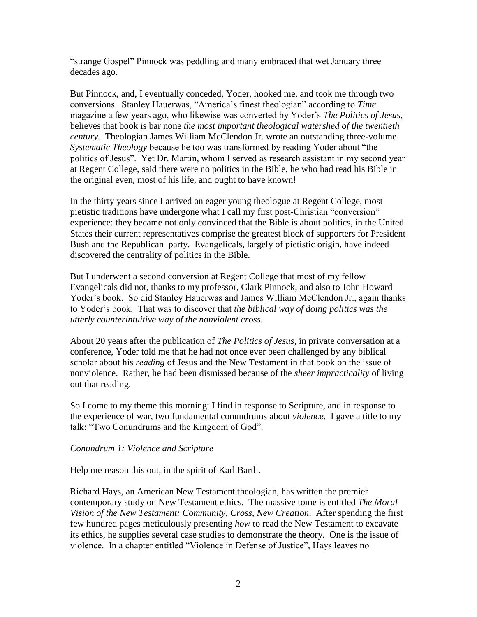"strange Gospel" Pinnock was peddling and many embraced that wet January three decades ago.

But Pinnock, and, I eventually conceded, Yoder, hooked me, and took me through two conversions. Stanley Hauerwas, "America's finest theologian" according to *Time*  magazine a few years ago, who likewise was converted by Yoder's *The Politics of Jesus*, believes that book is bar none *the most important theological watershed of the twentieth century.* Theologian James William McClendon Jr. wrote an outstanding three-volume *Systematic Theology* because he too was transformed by reading Yoder about "the politics of Jesus". Yet Dr. Martin, whom I served as research assistant in my second year at Regent College, said there were no politics in the Bible, he who had read his Bible in the original even, most of his life, and ought to have known!

In the thirty years since I arrived an eager young theologue at Regent College, most pietistic traditions have undergone what I call my first post-Christian "conversion" experience: they became not only convinced that the Bible is about politics, in the United States their current representatives comprise the greatest block of supporters for President Bush and the Republican party. Evangelicals, largely of pietistic origin, have indeed discovered the centrality of politics in the Bible.

But I underwent a second conversion at Regent College that most of my fellow Evangelicals did not, thanks to my professor, Clark Pinnock, and also to John Howard Yoder's book. So did Stanley Hauerwas and James William McClendon Jr., again thanks to Yoder's book. That was to discover that *the biblical way of doing politics was the utterly counterintuitive way of the nonviolent cross.*

About 20 years after the publication of *The Politics of Jesus*, in private conversation at a conference, Yoder told me that he had not once ever been challenged by any biblical scholar about his *reading* of Jesus and the New Testament in that book on the issue of nonviolence. Rather, he had been dismissed because of the *sheer impracticality* of living out that reading.

So I come to my theme this morning: I find in response to Scripture, and in response to the experience of war, two fundamental conundrums about *violence*. I gave a title to my talk: "Two Conundrums and the Kingdom of God".

*Conundrum 1: Violence and Scripture*

Help me reason this out, in the spirit of Karl Barth.

Richard Hays, an American New Testament theologian, has written the premier contemporary study on New Testament ethics. The massive tome is entitled *The Moral Vision of the New Testament: Community, Cross, New Creation*. After spending the first few hundred pages meticulously presenting *how* to read the New Testament to excavate its ethics, he supplies several case studies to demonstrate the theory. One is the issue of violence. In a chapter entitled "Violence in Defense of Justice", Hays leaves no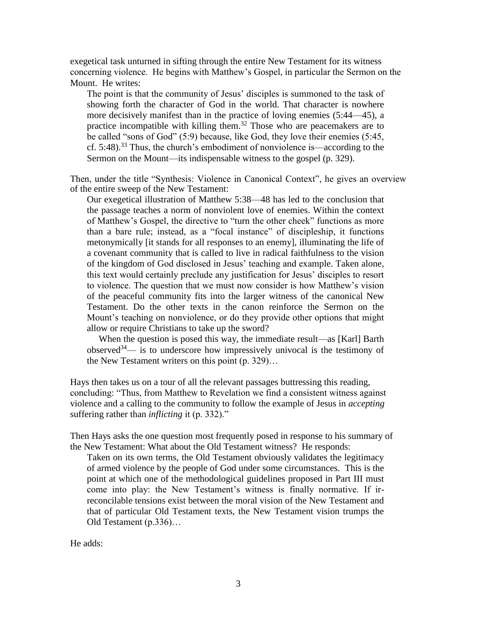exegetical task unturned in sifting through the entire New Testament for its witness concerning violence. He begins with Matthew's Gospel, in particular the Sermon on the Mount. He writes:

The point is that the community of Jesus' disciples is summoned to the task of showing forth the character of God in the world. That character is nowhere more decisively manifest than in the practice of loving enemies (5:44—45), a practice incompatible with killing them.<sup>32</sup> Those who are peacemakers are to be called "sons of God" (5:9) because, like God, they love their enemies (5:45, cf. 5:48).<sup>33</sup> Thus, the church's embodiment of nonviolence is—according to the Sermon on the Mount—its indispensable witness to the gospel (p. 329).

Then, under the title "Synthesis: Violence in Canonical Context", he gives an overview of the entire sweep of the New Testament:

Our exegetical illustration of Matthew 5:38—48 has led to the conclusion that the passage teaches a norm of nonviolent love of enemies. Within the context of Matthew's Gospel, the directive to "turn the other cheek" functions as more than a bare rule; instead, as a "focal instance" of discipleship, it functions metonymically [it stands for all responses to an enemy], illuminating the life of a covenant community that is called to live in radical faithfulness to the vision of the kingdom of God disclosed in Jesus' teaching and example. Taken alone, this text would certainly preclude any justification for Jesus' disciples to resort to violence. The question that we must now consider is how Matthew's vision of the peaceful community fits into the larger witness of the canonical New Testament. Do the other texts in the canon reinforce the Sermon on the Mount's teaching on nonviolence, or do they provide other options that might allow or require Christians to take up the sword?

When the question is posed this way, the immediate result—as [Karl] Barth observed $34$ — is to underscore how impressively univocal is the testimony of the New Testament writers on this point (p. 329)…

Hays then takes us on a tour of all the relevant passages buttressing this reading, concluding: "Thus, from Matthew to Revelation we find a consistent witness against violence and a calling to the community to follow the example of Jesus in *accepting*  suffering rather than *inflicting* it (p. 332)."

Then Hays asks the one question most frequently posed in response to his summary of the New Testament: What about the Old Testament witness? He responds:

Taken on its own terms, the Old Testament obviously validates the legitimacy of armed violence by the people of God under some circumstances. This is the point at which one of the methodological guidelines proposed in Part III must come into play: the New Testament's witness is finally normative. If irreconcilable tensions exist between the moral vision of the New Testament and that of particular Old Testament texts, the New Testament vision trumps the Old Testament (p.336)…

He adds: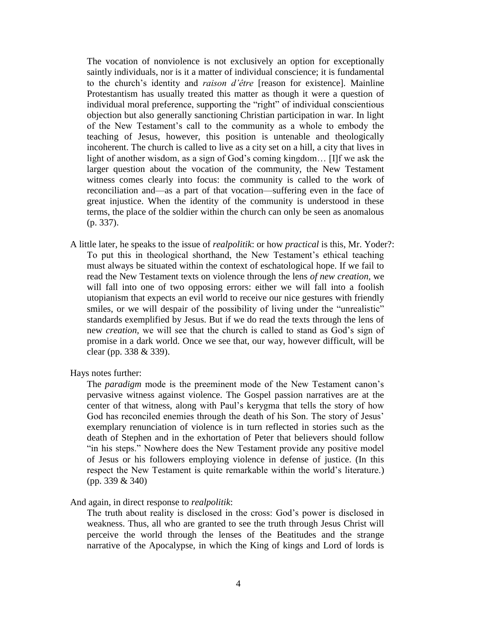The vocation of nonviolence is not exclusively an option for exceptionally saintly individuals, nor is it a matter of individual conscience; it is fundamental to the church's identity and *raison d'être* [reason for existence]*.* Mainline Protestantism has usually treated this matter as though it were a question of individual moral preference, supporting the "right" of individual conscientious objection but also generally sanctioning Christian participation in war. In light of the New Testament's call to the community as a whole to embody the teaching of Jesus, however, this position is untenable and theologically incoherent. The church is called to live as a city set on a hill, a city that lives in light of another wisdom, as a sign of God's coming kingdom… [I]f we ask the larger question about the vocation of the community, the New Testament witness comes clearly into focus: the community is called to the work of reconciliation and—as a part of that vocation—suffering even in the face of great injustice. When the identity of the community is understood in these terms, the place of the soldier within the church can only be seen as anomalous (p. 337).

A little later, he speaks to the issue of *realpolitik*: or how *practical* is this, Mr. Yoder?: To put this in theological shorthand, the New Testament's ethical teaching must always be situated within the context of eschatological hope. If we fail to read the New Testament texts on violence through the lens *of new creation,* we will fall into one of two opposing errors: either we will fall into a foolish utopianism that expects an evil world to receive our nice gestures with friendly smiles, or we will despair of the possibility of living under the "unrealistic" standards exemplified by Jesus. But if we do read the texts through the lens of new *creation,* we will see that the church is called to stand as God's sign of promise in a dark world. Once we see that, our way, however difficult, will be clear (pp. 338 & 339).

Hays notes further:

The *paradigm* mode is the preeminent mode of the New Testament canon's pervasive witness against violence. The Gospel passion narratives are at the center of that witness, along with Paul's kerygma that tells the story of how God has reconciled enemies through the death of his Son. The story of Jesus' exemplary renunciation of violence is in turn reflected in stories such as the death of Stephen and in the exhortation of Peter that believers should follow "in his steps." Nowhere does the New Testament provide any positive model of Jesus or his followers employing violence in defense of justice. (In this respect the New Testament is quite remarkable within the world's literature.) (pp. 339 & 340)

#### And again, in direct response to *realpolitik*:

The truth about reality is disclosed in the cross: God's power is disclosed in weakness. Thus, all who are granted to see the truth through Jesus Christ will perceive the world through the lenses of the Beatitudes and the strange narrative of the Apocalypse, in which the King of kings and Lord of lords is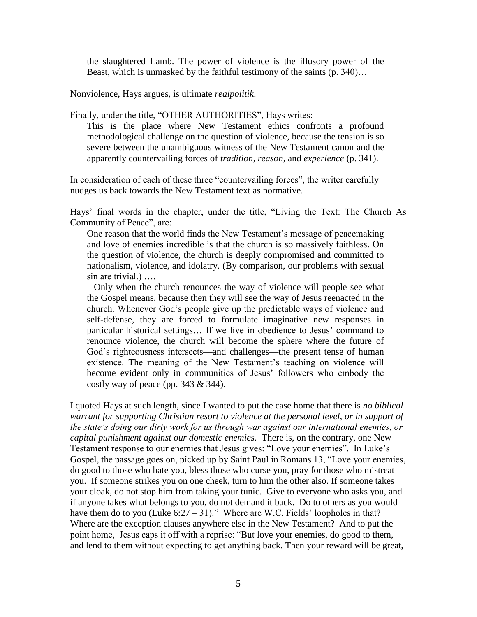the slaughtered Lamb. The power of violence is the illusory power of the Beast, which is unmasked by the faithful testimony of the saints (p. 340)…

Nonviolence, Hays argues, is ultimate *realpolitik*.

Finally, under the title, "OTHER AUTHORITIES", Hays writes:

This is the place where New Testament ethics confronts a profound methodological challenge on the question of violence, because the tension is so severe between the unambiguous witness of the New Testament canon and the apparently countervailing forces of *tradition, reason,* and *experience* (p. 341).

In consideration of each of these three "countervailing forces", the writer carefully nudges us back towards the New Testament text as normative.

Hays' final words in the chapter, under the title, "Living the Text: The Church As Community of Peace", are:

One reason that the world finds the New Testament's message of peacemaking and love of enemies incredible is that the church is so massively faithless. On the question of violence, the church is deeply compromised and committed to nationalism, violence, and idolatry. (By comparison, our problems with sexual sin are trivial.) ….

 Only when the church renounces the way of violence will people see what the Gospel means, because then they will see the way of Jesus reenacted in the church. Whenever God's people give up the predictable ways of violence and self-defense, they are forced to formulate imaginative new responses in particular historical settings… If we live in obedience to Jesus' command to renounce violence, the church will become the sphere where the future of God's righteousness intersects—and challenges—the present tense of human existence. The meaning of the New Testament's teaching on violence will become evident only in communities of Jesus' followers who embody the costly way of peace (pp.  $343 \& 344$ ).

I quoted Hays at such length, since I wanted to put the case home that there is *no biblical warrant for supporting Christian resort to violence at the personal level, or in support of the state's doing our dirty work for us through war against our international enemies, or capital punishment against our domestic enemies.* There is, on the contrary, one New Testament response to our enemies that Jesus gives: "Love your enemies". In Luke's Gospel, the passage goes on, picked up by Saint Paul in Romans 13, "Love your enemies, do good to those who hate you, bless those who curse you, pray for those who mistreat you. If someone strikes you on one cheek, turn to him the other also. If someone takes your cloak, do not stop him from taking your tunic. Give to everyone who asks you, and if anyone takes what belongs to you, do not demand it back. Do to others as you would have them do to you (Luke  $6:27 - 31$ )." Where are W.C. Fields' loopholes in that? Where are the exception clauses anywhere else in the New Testament? And to put the point home, Jesus caps it off with a reprise: "But love your enemies, do good to them, and lend to them without expecting to get anything back. Then your reward will be great,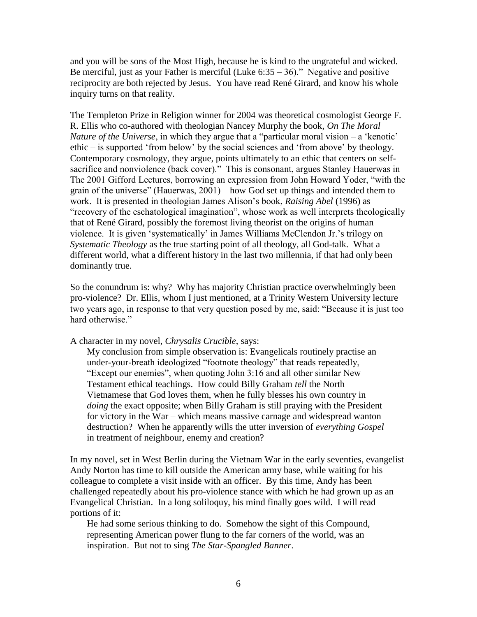and you will be sons of the Most High, because he is kind to the ungrateful and wicked. Be merciful, just as your Father is merciful (Luke  $6:35 - 36$ )." Negative and positive reciprocity are both rejected by Jesus. You have read René Girard, and know his whole inquiry turns on that reality.

The Templeton Prize in Religion winner for 2004 was theoretical cosmologist George F. R. Ellis who co-authored with theologian Nancey Murphy the book, *On The Moral Nature of the Universe*, in which they argue that a "particular moral vision – a 'kenotic' ethic – is supported 'from below' by the social sciences and 'from above' by theology. Contemporary cosmology, they argue, points ultimately to an ethic that centers on selfsacrifice and nonviolence (back cover)." This is consonant, argues Stanley Hauerwas in The 2001 Gifford Lectures, borrowing an expression from John Howard Yoder, "with the grain of the universe" (Hauerwas, 2001) – how God set up things and intended them to work. It is presented in theologian James Alison's book, *Raising Abel* (1996) as "recovery of the eschatological imagination", whose work as well interprets theologically that of René Girard, possibly the foremost living theorist on the origins of human violence. It is given 'systematically' in James Williams McClendon Jr.'s trilogy on *Systematic Theology* as the true starting point of all theology, all God-talk. What a different world, what a different history in the last two millennia, if that had only been dominantly true.

So the conundrum is: why? Why has majority Christian practice overwhelmingly been pro-violence? Dr. Ellis, whom I just mentioned, at a Trinity Western University lecture two years ago, in response to that very question posed by me, said: "Because it is just too hard otherwise."

A character in my novel, *Chrysalis Crucible*, says:

My conclusion from simple observation is: Evangelicals routinely practise an under-your-breath ideologized "footnote theology" that reads repeatedly, "Except our enemies", when quoting John 3:16 and all other similar New Testament ethical teachings. How could Billy Graham *tell* the North Vietnamese that God loves them, when he fully blesses his own country in *doing* the exact opposite; when Billy Graham is still praying with the President for victory in the War – which means massive carnage and widespread wanton destruction? When he apparently wills the utter inversion of *everything Gospel* in treatment of neighbour, enemy and creation?

In my novel, set in West Berlin during the Vietnam War in the early seventies, evangelist Andy Norton has time to kill outside the American army base, while waiting for his colleague to complete a visit inside with an officer. By this time, Andy has been challenged repeatedly about his pro-violence stance with which he had grown up as an Evangelical Christian. In a long soliloquy, his mind finally goes wild. I will read portions of it:

He had some serious thinking to do. Somehow the sight of this Compound, representing American power flung to the far corners of the world, was an inspiration. But not to sing *The Star-Spangled Banner*.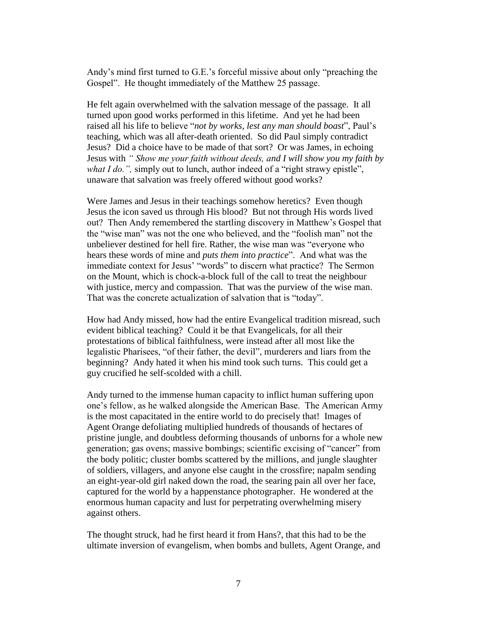Andy's mind first turned to G.E.'s forceful missive about only "preaching the Gospel". He thought immediately of the Matthew 25 passage.

He felt again overwhelmed with the salvation message of the passage. It all turned upon good works performed in this lifetime. And yet he had been raised all his life to believe "*not by works, lest any man should boast*", Paul's teaching, which was all after-death oriented. So did Paul simply contradict Jesus? Did a choice have to be made of that sort? Or was James, in echoing Jesus with *" Show me your faith without deeds, and I will show you my faith by what I do."*, simply out to lunch, author indeed of a "right strawy epistle", unaware that salvation was freely offered without good works?

Were James and Jesus in their teachings somehow heretics? Even though Jesus the icon saved us through His blood? But not through His words lived out? Then Andy remembered the startling discovery in Matthew's Gospel that the "wise man" was not the one who believed, and the "foolish man" not the unbeliever destined for hell fire. Rather, the wise man was "everyone who hears these words of mine and *puts them into practice*". And what was the immediate context for Jesus' "words" to discern what practice? The Sermon on the Mount, which is chock-a-block full of the call to treat the neighbour with justice, mercy and compassion. That was the purview of the wise man. That was the concrete actualization of salvation that is "today".

How had Andy missed, how had the entire Evangelical tradition misread, such evident biblical teaching? Could it be that Evangelicals, for all their protestations of biblical faithfulness, were instead after all most like the legalistic Pharisees, "of their father, the devil", murderers and liars from the beginning? Andy hated it when his mind took such turns. This could get a guy crucified he self-scolded with a chill.

Andy turned to the immense human capacity to inflict human suffering upon one's fellow, as he walked alongside the American Base. The American Army is the most capacitated in the entire world to do precisely that! Images of Agent Orange defoliating multiplied hundreds of thousands of hectares of pristine jungle, and doubtless deforming thousands of unborns for a whole new generation; gas ovens; massive bombings; scientific excising of "cancer" from the body politic; cluster bombs scattered by the millions, and jungle slaughter of soldiers, villagers, and anyone else caught in the crossfire; napalm sending an eight-year-old girl naked down the road, the searing pain all over her face, captured for the world by a happenstance photographer. He wondered at the enormous human capacity and lust for perpetrating overwhelming misery against others.

The thought struck, had he first heard it from Hans?, that this had to be the ultimate inversion of evangelism, when bombs and bullets, Agent Orange, and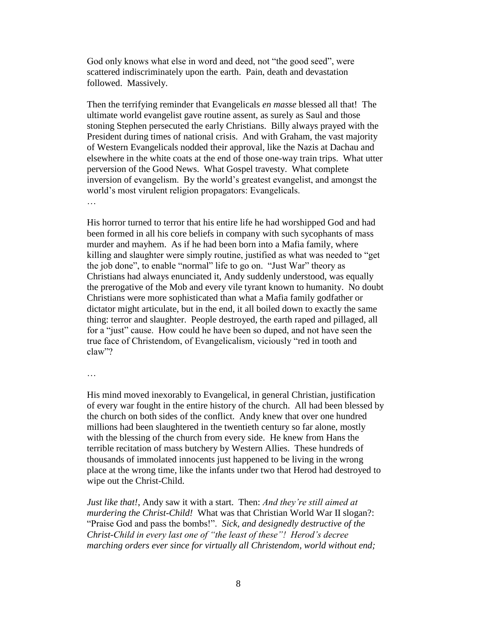God only knows what else in word and deed, not "the good seed", were scattered indiscriminately upon the earth. Pain, death and devastation followed. Massively.

Then the terrifying reminder that Evangelicals *en masse* blessed all that! The ultimate world evangelist gave routine assent, as surely as Saul and those stoning Stephen persecuted the early Christians. Billy always prayed with the President during times of national crisis. And with Graham, the vast majority of Western Evangelicals nodded their approval, like the Nazis at Dachau and elsewhere in the white coats at the end of those one-way train trips. What utter perversion of the Good News. What Gospel travesty. What complete inversion of evangelism. By the world's greatest evangelist, and amongst the world's most virulent religion propagators: Evangelicals.

…

His horror turned to terror that his entire life he had worshipped God and had been formed in all his core beliefs in company with such sycophants of mass murder and mayhem. As if he had been born into a Mafia family, where killing and slaughter were simply routine, justified as what was needed to "get the job done", to enable "normal" life to go on. "Just War" theory as Christians had always enunciated it, Andy suddenly understood, was equally the prerogative of the Mob and every vile tyrant known to humanity. No doubt Christians were more sophisticated than what a Mafia family godfather or dictator might articulate, but in the end, it all boiled down to exactly the same thing: terror and slaughter. People destroyed, the earth raped and pillaged, all for a "just" cause. How could he have been so duped, and not have seen the true face of Christendom, of Evangelicalism, viciously "red in tooth and claw"?

…

His mind moved inexorably to Evangelical, in general Christian, justification of every war fought in the entire history of the church. All had been blessed by the church on both sides of the conflict. Andy knew that over one hundred millions had been slaughtered in the twentieth century so far alone, mostly with the blessing of the church from every side. He knew from Hans the terrible recitation of mass butchery by Western Allies. These hundreds of thousands of immolated innocents just happened to be living in the wrong place at the wrong time, like the infants under two that Herod had destroyed to wipe out the Christ-Child.

*Just like that!*, Andy saw it with a start. Then: *And they're still aimed at murdering the Christ-Child!* What was that Christian World War II slogan?: "Praise God and pass the bombs!". *Sick, and designedly destructive of the Christ-Child in every last one of "the least of these"! Herod's decree marching orders ever since for virtually all Christendom, world without end;*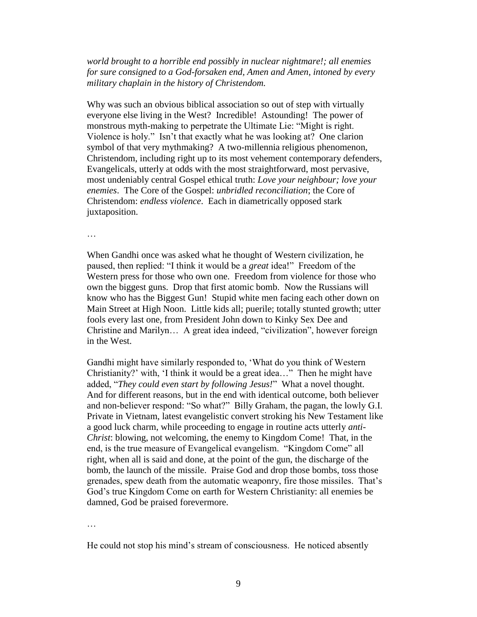*world brought to a horrible end possibly in nuclear nightmare!; all enemies for sure consigned to a God-forsaken end, Amen and Amen, intoned by every military chaplain in the history of Christendom.*

Why was such an obvious biblical association so out of step with virtually everyone else living in the West? Incredible! Astounding! The power of monstrous myth-making to perpetrate the Ultimate Lie: "Might is right. Violence is holy." Isn't that exactly what he was looking at? One clarion symbol of that very mythmaking? A two-millennia religious phenomenon, Christendom, including right up to its most vehement contemporary defenders, Evangelicals, utterly at odds with the most straightforward, most pervasive, most undeniably central Gospel ethical truth: *Love your neighbour; love your enemies*. The Core of the Gospel: *unbridled reconciliation*; the Core of Christendom: *endless violence*. Each in diametrically opposed stark juxtaposition.

…

When Gandhi once was asked what he thought of Western civilization, he paused, then replied: "I think it would be a *great* idea!" Freedom of the Western press for those who own one. Freedom from violence for those who own the biggest guns. Drop that first atomic bomb. Now the Russians will know who has the Biggest Gun! Stupid white men facing each other down on Main Street at High Noon. Little kids all; puerile; totally stunted growth; utter fools every last one, from President John down to Kinky Sex Dee and Christine and Marilyn… A great idea indeed, "civilization", however foreign in the West.

Gandhi might have similarly responded to, 'What do you think of Western Christianity?' with, 'I think it would be a great idea…" Then he might have added, "*They could even start by following Jesus!*" What a novel thought. And for different reasons, but in the end with identical outcome, both believer and non-believer respond: "So what?" Billy Graham, the pagan, the lowly G.I. Private in Vietnam, latest evangelistic convert stroking his New Testament like a good luck charm, while proceeding to engage in routine acts utterly *anti-Christ*: blowing, not welcoming, the enemy to Kingdom Come! That, in the end, is the true measure of Evangelical evangelism. "Kingdom Come" all right, when all is said and done, at the point of the gun, the discharge of the bomb, the launch of the missile. Praise God and drop those bombs, toss those grenades, spew death from the automatic weaponry, fire those missiles. That's God's true Kingdom Come on earth for Western Christianity: all enemies be damned, God be praised forevermore.

…

He could not stop his mind's stream of consciousness. He noticed absently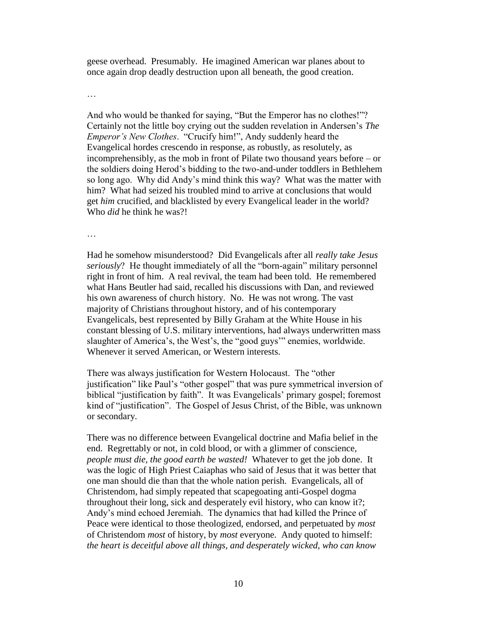geese overhead. Presumably. He imagined American war planes about to once again drop deadly destruction upon all beneath, the good creation.

…

And who would be thanked for saying, "But the Emperor has no clothes!"? Certainly not the little boy crying out the sudden revelation in Andersen's *The Emperor's New Clothes*. "Crucify him!", Andy suddenly heard the Evangelical hordes crescendo in response, as robustly, as resolutely, as incomprehensibly, as the mob in front of Pilate two thousand years before – or the soldiers doing Herod's bidding to the two-and-under toddlers in Bethlehem so long ago. Why did Andy's mind think this way? What was the matter with him? What had seized his troubled mind to arrive at conclusions that would get *him* crucified, and blacklisted by every Evangelical leader in the world? Who *did* he think he was?!

…

Had he somehow misunderstood? Did Evangelicals after all *really take Jesus seriously*? He thought immediately of all the "born-again" military personnel right in front of him. A real revival, the team had been told. He remembered what Hans Beutler had said, recalled his discussions with Dan, and reviewed his own awareness of church history. No. He was not wrong. The vast majority of Christians throughout history, and of his contemporary Evangelicals, best represented by Billy Graham at the White House in his constant blessing of U.S. military interventions, had always underwritten mass slaughter of America's, the West's, the "good guys'" enemies, worldwide. Whenever it served American, or Western interests.

There was always justification for Western Holocaust. The "other justification" like Paul's "other gospel" that was pure symmetrical inversion of biblical "justification by faith". It was Evangelicals' primary gospel; foremost kind of "justification". The Gospel of Jesus Christ, of the Bible, was unknown or secondary.

There was no difference between Evangelical doctrine and Mafia belief in the end. Regrettably or not, in cold blood, or with a glimmer of conscience, *people must die, the good earth be wasted!* Whatever to get the job done. It was the logic of High Priest Caiaphas who said of Jesus that it was better that one man should die than that the whole nation perish. Evangelicals, all of Christendom, had simply repeated that scapegoating anti-Gospel dogma throughout their long, sick and desperately evil history, who can know it?; Andy's mind echoed Jeremiah. The dynamics that had killed the Prince of Peace were identical to those theologized, endorsed, and perpetuated by *most* of Christendom *most* of history, by *most* everyone. Andy quoted to himself: *the heart is deceitful above all things, and desperately wicked, who can know*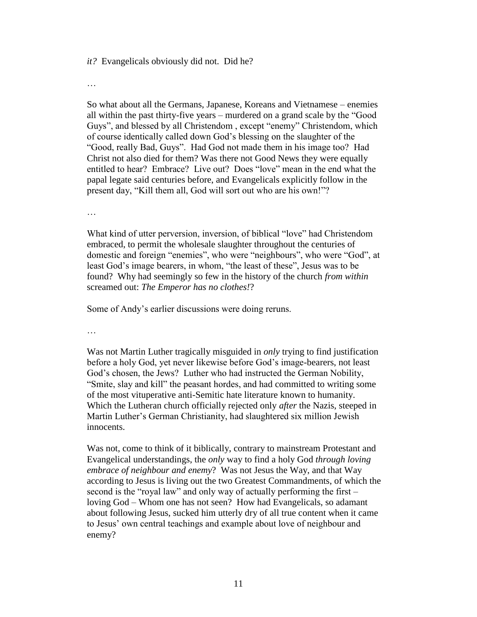*it?* Evangelicals obviously did not. Did he?

…

So what about all the Germans, Japanese, Koreans and Vietnamese – enemies all within the past thirty-five years – murdered on a grand scale by the "Good Guys", and blessed by all Christendom , except "enemy" Christendom, which of course identically called down God's blessing on the slaughter of the "Good, really Bad, Guys". Had God not made them in his image too? Had Christ not also died for them? Was there not Good News they were equally entitled to hear? Embrace? Live out? Does "love" mean in the end what the papal legate said centuries before, and Evangelicals explicitly follow in the present day, "Kill them all, God will sort out who are his own!"?

…

What kind of utter perversion, inversion, of biblical "love" had Christendom embraced, to permit the wholesale slaughter throughout the centuries of domestic and foreign "enemies", who were "neighbours", who were "God", at least God's image bearers, in whom, "the least of these", Jesus was to be found? Why had seemingly so few in the history of the church *from within*  screamed out: *The Emperor has no clothes!*?

Some of Andy's earlier discussions were doing reruns.

…

Was not Martin Luther tragically misguided in *only* trying to find justification before a holy God, yet never likewise before God's image-bearers, not least God's chosen, the Jews? Luther who had instructed the German Nobility, "Smite, slay and kill" the peasant hordes, and had committed to writing some of the most vituperative anti-Semitic hate literature known to humanity. Which the Lutheran church officially rejected only *after* the Nazis, steeped in Martin Luther's German Christianity, had slaughtered six million Jewish innocents.

Was not, come to think of it biblically, contrary to mainstream Protestant and Evangelical understandings, the *only* way to find a holy God *through loving embrace of neighbour and enemy*? Was not Jesus the Way, and that Way according to Jesus is living out the two Greatest Commandments, of which the second is the "royal law" and only way of actually performing the first – loving God – Whom one has not seen? How had Evangelicals, so adamant about following Jesus, sucked him utterly dry of all true content when it came to Jesus' own central teachings and example about love of neighbour and enemy?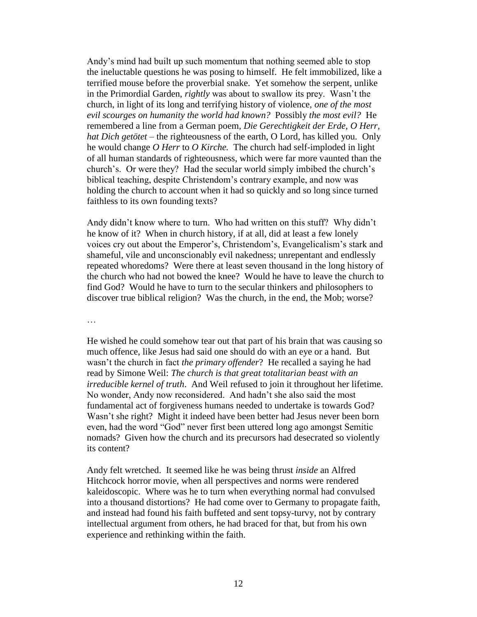Andy's mind had built up such momentum that nothing seemed able to stop the ineluctable questions he was posing to himself. He felt immobilized, like a terrified mouse before the proverbial snake. Yet somehow the serpent, unlike in the Primordial Garden, *rightly* was about to swallow its prey. Wasn't the church, in light of its long and terrifying history of violence, *one of the most evil scourges on humanity the world had known?* Possibly *the most evil?* He remembered a line from a German poem, *Die Gerechtigkeit der Erde, O Herr, hat Dich getötet –* the righteousness of the earth, O Lord, has killed you*.* Only he would change *O Herr* to *O Kirche.* The church had self-imploded in light of all human standards of righteousness, which were far more vaunted than the church's. Or were they? Had the secular world simply imbibed the church's biblical teaching, despite Christendom's contrary example, and now was holding the church to account when it had so quickly and so long since turned faithless to its own founding texts?

Andy didn't know where to turn. Who had written on this stuff? Why didn't he know of it? When in church history, if at all, did at least a few lonely voices cry out about the Emperor's, Christendom's, Evangelicalism's stark and shameful, vile and unconscionably evil nakedness; unrepentant and endlessly repeated whoredoms? Were there at least seven thousand in the long history of the church who had not bowed the knee? Would he have to leave the church to find God? Would he have to turn to the secular thinkers and philosophers to discover true biblical religion? Was the church, in the end, the Mob; worse?

…

He wished he could somehow tear out that part of his brain that was causing so much offence, like Jesus had said one should do with an eye or a hand. But wasn't the church in fact *the primary offender*? He recalled a saying he had read by Simone Weil: *The church is that great totalitarian beast with an irreducible kernel of truth*. And Weil refused to join it throughout her lifetime. No wonder, Andy now reconsidered. And hadn't she also said the most fundamental act of forgiveness humans needed to undertake is towards God? Wasn't she right? Might it indeed have been better had Jesus never been born even, had the word "God" never first been uttered long ago amongst Semitic nomads? Given how the church and its precursors had desecrated so violently its content?

Andy felt wretched. It seemed like he was being thrust *inside* an Alfred Hitchcock horror movie, when all perspectives and norms were rendered kaleidoscopic. Where was he to turn when everything normal had convulsed into a thousand distortions? He had come over to Germany to propagate faith, and instead had found his faith buffeted and sent topsy-turvy, not by contrary intellectual argument from others, he had braced for that, but from his own experience and rethinking within the faith.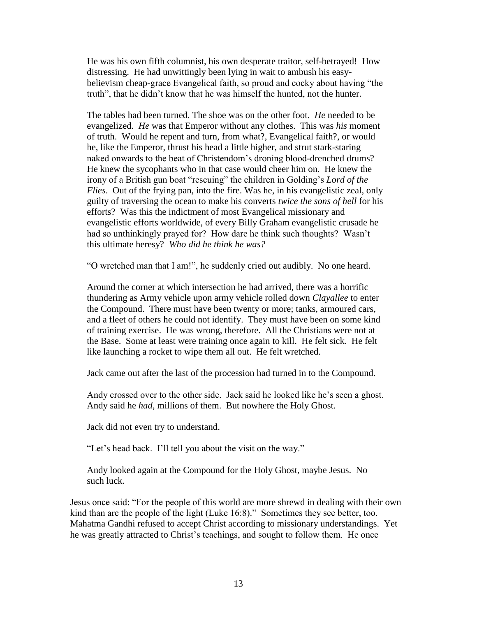He was his own fifth columnist, his own desperate traitor, self-betrayed! How distressing. He had unwittingly been lying in wait to ambush his easybelievism cheap-grace Evangelical faith, so proud and cocky about having "the truth", that he didn't know that he was himself the hunted, not the hunter.

The tables had been turned. The shoe was on the other foot. *He* needed to be evangelized. *He* was that Emperor without any clothes. This was *his* moment of truth. Would he repent and turn, from what?, Evangelical faith?, or would he, like the Emperor, thrust his head a little higher, and strut stark-staring naked onwards to the beat of Christendom's droning blood-drenched drums? He knew the sycophants who in that case would cheer him on. He knew the irony of a British gun boat "rescuing" the children in Golding's *Lord of the Flies*. Out of the frying pan, into the fire. Was he, in his evangelistic zeal, only guilty of traversing the ocean to make his converts *twice the sons of hell* for his efforts? Was this the indictment of most Evangelical missionary and evangelistic efforts worldwide, of every Billy Graham evangelistic crusade he had so unthinkingly prayed for? How dare he think such thoughts? Wasn't this ultimate heresy? *Who did he think he was?*

"O wretched man that I am!", he suddenly cried out audibly. No one heard.

Around the corner at which intersection he had arrived, there was a horrific thundering as Army vehicle upon army vehicle rolled down *Clayallee* to enter the Compound. There must have been twenty or more; tanks, armoured cars, and a fleet of others he could not identify. They must have been on some kind of training exercise. He was wrong, therefore. All the Christians were not at the Base. Some at least were training once again to kill. He felt sick. He felt like launching a rocket to wipe them all out. He felt wretched.

Jack came out after the last of the procession had turned in to the Compound.

Andy crossed over to the other side. Jack said he looked like he's seen a ghost. Andy said he *had*, millions of them. But nowhere the Holy Ghost.

Jack did not even try to understand.

"Let's head back. I'll tell you about the visit on the way."

Andy looked again at the Compound for the Holy Ghost, maybe Jesus. No such luck.

Jesus once said: "For the people of this world are more shrewd in dealing with their own kind than are the people of the light (Luke 16:8)." Sometimes they see better, too. Mahatma Gandhi refused to accept Christ according to missionary understandings. Yet he was greatly attracted to Christ's teachings, and sought to follow them. He once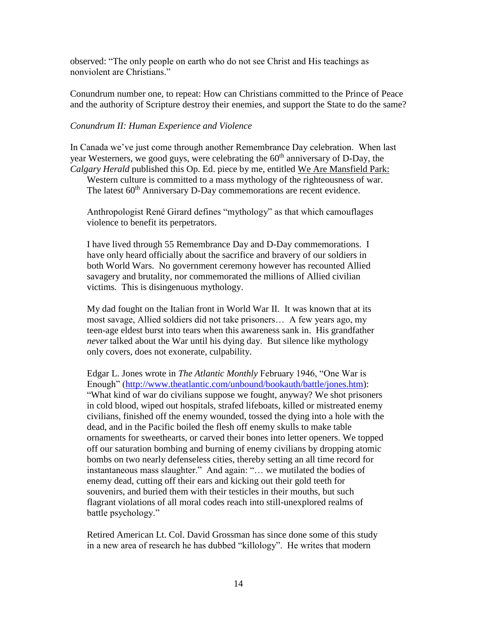observed: "The only people on earth who do not see Christ and His teachings as nonviolent are Christians."

Conundrum number one, to repeat: How can Christians committed to the Prince of Peace and the authority of Scripture destroy their enemies, and support the State to do the same?

#### *Conundrum II: Human Experience and Violence*

In Canada we've just come through another Remembrance Day celebration. When last year Westerners, we good guys, were celebrating the 60<sup>th</sup> anniversary of D-Day, the *Calgary Herald* published this Op. Ed. piece by me, entitled We Are Mansfield Park:

Western culture is committed to a mass mythology of the righteousness of war. The latest 60<sup>th</sup> Anniversary D-Day commemorations are recent evidence.

Anthropologist René Girard defines "mythology" as that which camouflages violence to benefit its perpetrators.

I have lived through 55 Remembrance Day and D-Day commemorations. I have only heard officially about the sacrifice and bravery of our soldiers in both World Wars. No government ceremony however has recounted Allied savagery and brutality, nor commemorated the millions of Allied civilian victims. This is disingenuous mythology.

My dad fought on the Italian front in World War II. It was known that at its most savage, Allied soldiers did not take prisoners… A few years ago, my teen-age eldest burst into tears when this awareness sank in. His grandfather *never* talked about the War until his dying day. But silence like mythology only covers, does not exonerate, culpability.

Edgar L. Jones wrote in *The Atlantic Monthly* February 1946, "One War is Enough" [\(http://www.theatlantic.com/unbound/bookauth/battle/jones.htm\)](http://www.theatlantic.com/unbound/bookauth/battle/jones.htm): "What kind of war do civilians suppose we fought, anyway? We shot prisoners in cold blood, wiped out hospitals, strafed lifeboats, killed or mistreated enemy civilians, finished off the enemy wounded, tossed the dying into a hole with the dead, and in the Pacific boiled the flesh off enemy skulls to make table ornaments for sweethearts, or carved their bones into letter openers. We topped off our saturation bombing and burning of enemy civilians by dropping atomic bombs on two nearly defenseless cities, thereby setting an all time record for instantaneous mass slaughter." And again: "… we mutilated the bodies of enemy dead, cutting off their ears and kicking out their gold teeth for souvenirs, and buried them with their testicles in their mouths, but such flagrant violations of all moral codes reach into still-unexplored realms of battle psychology."

Retired American Lt. Col. David Grossman has since done some of this study in a new area of research he has dubbed "killology". He writes that modern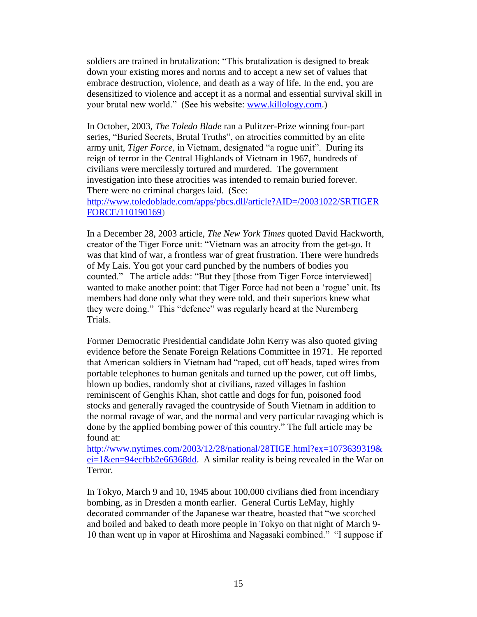soldiers are trained in brutalization: "This brutalization is designed to break down your existing mores and norms and to accept a new set of values that embrace destruction, violence, and death as a way of life. In the end, you are desensitized to violence and accept it as a normal and essential survival skill in your brutal new world." (See his website: [www.killology.com.](http://www.killology.com/))

In October, 2003, *The Toledo Blade* ran a Pulitzer-Prize winning four-part series, "Buried Secrets, Brutal Truths", on atrocities committed by an elite army unit, *Tiger Force*, in Vietnam, designated "a rogue unit". During its reign of terror in the Central Highlands of Vietnam in 1967, hundreds of civilians were mercilessly tortured and murdered. The government investigation into these atrocities was intended to remain buried forever. There were no criminal charges laid. (See:

[http://www.toledoblade.com/apps/pbcs.dll/article?AID=/20031022/SRTIGER](http://www.toledoblade.com/apps/pbcs.dll/article?AID=/20031022/SRTIGERFORCE/110190169) [FORCE/110190169\)](http://www.toledoblade.com/apps/pbcs.dll/article?AID=/20031022/SRTIGERFORCE/110190169)

In a December 28, 2003 article, *The New York Times* quoted David Hackworth, creator of the Tiger Force unit: "Vietnam was an atrocity from the get-go. It was that kind of war, a frontless war of great frustration. There were hundreds of My Lais. You got your card punched by the numbers of bodies you counted." The article adds: "But they [those from Tiger Force interviewed] wanted to make another point: that Tiger Force had not been a 'rogue' unit. Its members had done only what they were told, and their superiors knew what they were doing." This "defence" was regularly heard at the Nuremberg Trials.

Former Democratic Presidential candidate John Kerry was also quoted giving evidence before the Senate Foreign Relations Committee in 1971. He reported that American soldiers in Vietnam had "raped, cut off heads, taped wires from portable telephones to human genitals and turned up the power, cut off limbs, blown up bodies, randomly shot at civilians, razed villages in fashion reminiscent of Genghis Khan, shot cattle and dogs for fun, poisoned food stocks and generally ravaged the countryside of South Vietnam in addition to the normal ravage of war, and the normal and very particular ravaging which is done by the applied bombing power of this country." The full article may be found at:

[http://www.nytimes.com/2003/12/28/national/28TIGE.html?ex=1073639319&](http://www.nytimes.com/2003/12/28/national/28TIGE.html?ex=1073639319&ei=1&en=94ecfbb2e66368dd)  $e_i=1$ &en=94ecfbb2e66368dd. A similar reality is being revealed in the War on Terror.

In Tokyo, March 9 and 10, 1945 about 100,000 civilians died from incendiary bombing, as in Dresden a month earlier. General Curtis LeMay, highly decorated commander of the Japanese war theatre, boasted that "we scorched and boiled and baked to death more people in Tokyo on that night of March 9- 10 than went up in vapor at Hiroshima and Nagasaki combined." "I suppose if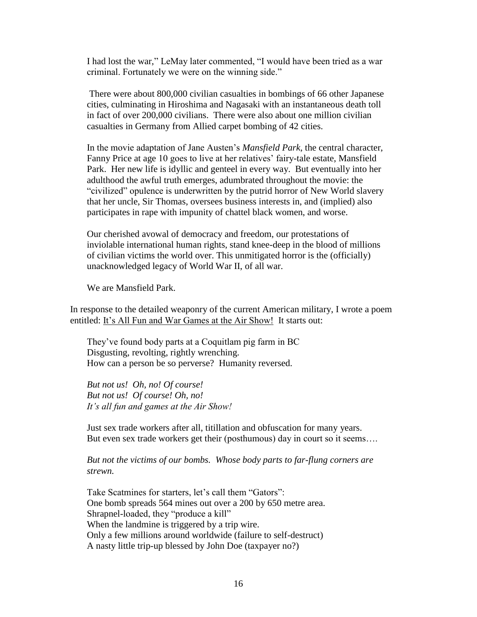I had lost the war," LeMay later commented, "I would have been tried as a war criminal. Fortunately we were on the winning side."

There were about 800,000 civilian casualties in bombings of 66 other Japanese cities, culminating in Hiroshima and Nagasaki with an instantaneous death toll in fact of over 200,000 civilians. There were also about one million civilian casualties in Germany from Allied carpet bombing of 42 cities.

In the movie adaptation of Jane Austen's *Mansfield Park*, the central character, Fanny Price at age 10 goes to live at her relatives' fairy-tale estate, Mansfield Park. Her new life is idyllic and genteel in every way. But eventually into her adulthood the awful truth emerges, adumbrated throughout the movie: the "civilized" opulence is underwritten by the putrid horror of New World slavery that her uncle, Sir Thomas, oversees business interests in, and (implied) also participates in rape with impunity of chattel black women, and worse.

Our cherished avowal of democracy and freedom, our protestations of inviolable international human rights, stand knee-deep in the blood of millions of civilian victims the world over. This unmitigated horror is the (officially) unacknowledged legacy of World War II, of all war.

We are Mansfield Park.

In response to the detailed weaponry of the current American military, I wrote a poem entitled: It's All Fun and War Games at the Air Show! It starts out:

They've found body parts at a Coquitlam pig farm in BC Disgusting, revolting, rightly wrenching. How can a person be so perverse? Humanity reversed.

*But not us! Oh, no! Of course! But not us! Of course! Oh, no! It's all fun and games at the Air Show!*

Just sex trade workers after all, titillation and obfuscation for many years. But even sex trade workers get their (posthumous) day in court so it seems….

*But not the victims of our bombs. Whose body parts to far-flung corners are strewn.*

Take Scatmines for starters, let's call them "Gators": One bomb spreads 564 mines out over a 200 by 650 metre area. Shrapnel-loaded, they "produce a kill" When the landmine is triggered by a trip wire. Only a few millions around worldwide (failure to self-destruct) A nasty little trip-up blessed by John Doe (taxpayer no?)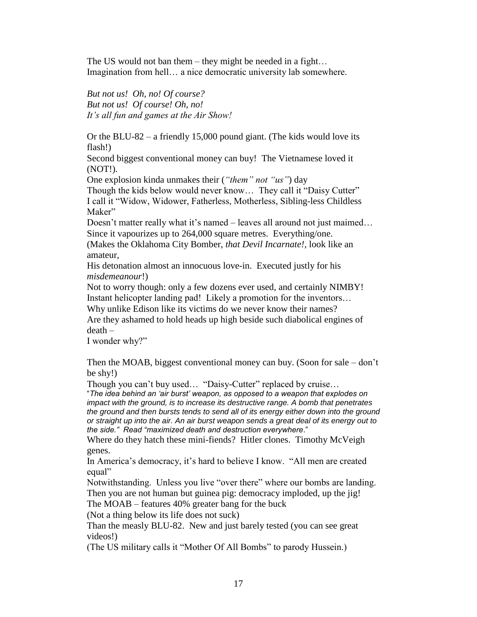The US would not ban them – they might be needed in a fight… Imagination from hell… a nice democratic university lab somewhere.

*But not us! Oh, no! Of course? But not us! Of course! Oh, no! It's all fun and games at the Air Show!*

Or the BLU-82 – a friendly 15,000 pound giant. (The kids would love its flash!)

Second biggest conventional money can buy! The Vietnamese loved it (NOT!).

One explosion kinda unmakes their (*"them" not "us"*) day

Though the kids below would never know… They call it "Daisy Cutter" I call it "Widow, Widower, Fatherless, Motherless, Sibling-less Childless Maker"

Doesn't matter really what it's named – leaves all around not just maimed… Since it vapourizes up to 264,000 square metres. Everything/one.

(Makes the Oklahoma City Bomber, *that Devil Incarnate!*, look like an amateur,

His detonation almost an innocuous love-in. Executed justly for his *misdemeanour*!)

Not to worry though: only a few dozens ever used, and certainly NIMBY! Instant helicopter landing pad! Likely a promotion for the inventors…

Why unlike Edison like its victims do we never know their names?

Are they ashamed to hold heads up high beside such diabolical engines of death –

I wonder why?"

Then the MOAB, biggest conventional money can buy. (Soon for sale – don't be shy!)

Though you can't buy used… "Daisy-Cutter" replaced by cruise…

"*The idea behind an 'air burst' weapon, as opposed to a weapon that explodes on impact with the ground, is to increase its destructive range. A bomb that penetrates the ground and then bursts tends to send all of its energy either down into the ground or straight up into the air. An air burst weapon sends a great deal of its energy out to the side." Read "maximized death and destruction everywhere*."

Where do they hatch these mini-fiends? Hitler clones. Timothy McVeigh genes.

In America's democracy, it's hard to believe I know. "All men are created equal"

Notwithstanding. Unless you live "over there" where our bombs are landing. Then you are not human but guinea pig: democracy imploded, up the jig!

The MOAB – features 40% greater bang for the buck

(Not a thing below its life does not suck)

Than the measly BLU-82. New and just barely tested (you can see great videos!)

(The US military calls it "Mother Of All Bombs" to parody Hussein.)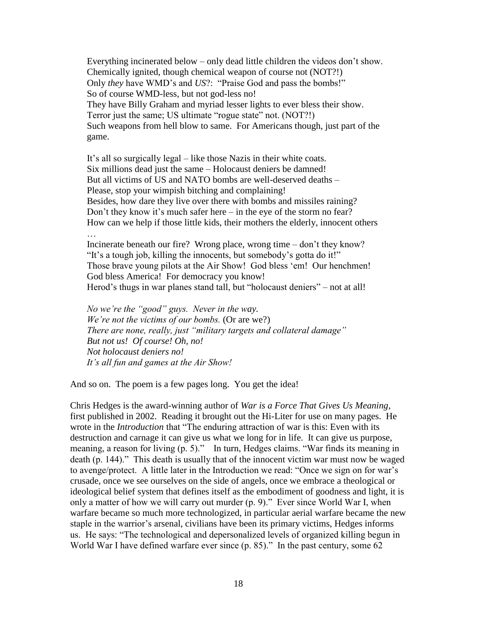Everything incinerated below – only dead little children the videos don't show. Chemically ignited, though chemical weapon of course not (NOT?!) Only *they* have WMD's and *US*?: "Praise God and pass the bombs!" So of course WMD-less, but not god-less no! They have Billy Graham and myriad lesser lights to ever bless their show. Terror just the same; US ultimate "rogue state" not. (NOT?!) Such weapons from hell blow to same. For Americans though, just part of the game.

It's all so surgically legal – like those Nazis in their white coats. Six millions dead just the same – Holocaust deniers be damned! But all victims of US and NATO bombs are well-deserved deaths – Please, stop your wimpish bitching and complaining! Besides, how dare they live over there with bombs and missiles raining? Don't they know it's much safer here – in the eye of the storm no fear? How can we help if those little kids, their mothers the elderly, innocent others …

Incinerate beneath our fire? Wrong place, wrong time – don't they know? "It's a tough job, killing the innocents, but somebody's gotta do it!" Those brave young pilots at the Air Show! God bless 'em! Our henchmen! God bless America! For democracy you know! Herod's thugs in war planes stand tall, but "holocaust deniers" – not at all!

*No we're the "good" guys. Never in the way. We're not the victims of our bombs.* (Or are we?) *There are none, really, just "military targets and collateral damage" But not us! Of course! Oh, no! Not holocaust deniers no! It's all fun and games at the Air Show!*

And so on. The poem is a few pages long. You get the idea!

Chris Hedges is the award-winning author of *War is a Force That Gives Us Meaning*, first published in 2002. Reading it brought out the Hi-Liter for use on many pages. He wrote in the *Introduction* that "The enduring attraction of war is this: Even with its destruction and carnage it can give us what we long for in life. It can give us purpose, meaning, a reason for living (p. 5)." In turn, Hedges claims. "War finds its meaning in death (p. 144)." This death is usually that of the innocent victim war must now be waged to avenge/protect. A little later in the Introduction we read: "Once we sign on for war's crusade, once we see ourselves on the side of angels, once we embrace a theological or ideological belief system that defines itself as the embodiment of goodness and light, it is only a matter of how we will carry out murder (p. 9)." Ever since World War I, when warfare became so much more technologized, in particular aerial warfare became the new staple in the warrior's arsenal, civilians have been its primary victims, Hedges informs us. He says: "The technological and depersonalized levels of organized killing begun in World War I have defined warfare ever since (p. 85)." In the past century, some 62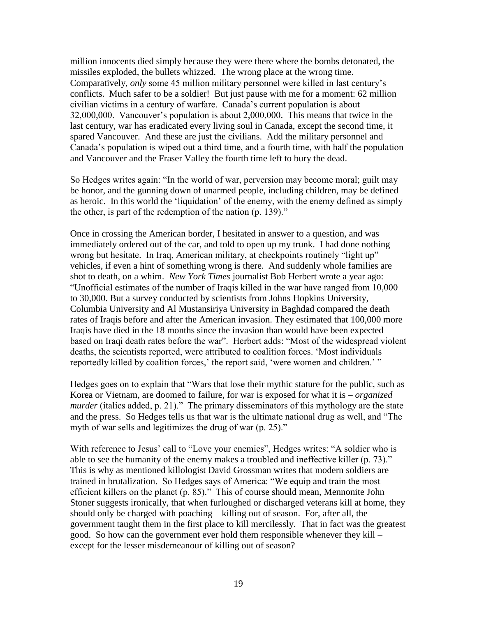million innocents died simply because they were there where the bombs detonated, the missiles exploded, the bullets whizzed. The wrong place at the wrong time. Comparatively, *only* some 45 million military personnel were killed in last century's conflicts. Much safer to be a soldier! But just pause with me for a moment: 62 million civilian victims in a century of warfare. Canada's current population is about 32,000,000. Vancouver's population is about 2,000,000. This means that twice in the last century, war has eradicated every living soul in Canada, except the second time, it spared Vancouver. And these are just the civilians. Add the military personnel and Canada's population is wiped out a third time, and a fourth time, with half the population and Vancouver and the Fraser Valley the fourth time left to bury the dead.

So Hedges writes again: "In the world of war, perversion may become moral; guilt may be honor, and the gunning down of unarmed people, including children, may be defined as heroic. In this world the 'liquidation' of the enemy, with the enemy defined as simply the other, is part of the redemption of the nation (p. 139)."

Once in crossing the American border, I hesitated in answer to a question, and was immediately ordered out of the car, and told to open up my trunk. I had done nothing wrong but hesitate. In Iraq, American military, at checkpoints routinely "light up" vehicles, if even a hint of something wrong is there. And suddenly whole families are shot to death, on a whim. *New York Times* journalist Bob Herbert wrote a year ago: "Unofficial estimates of the number of Iraqis killed in the war have ranged from 10,000 to 30,000. But a survey conducted by scientists from Johns Hopkins University, Columbia University and Al Mustansiriya University in Baghdad compared the death rates of Iraqis before and after the American invasion. They estimated that 100,000 more Iraqis have died in the 18 months since the invasion than would have been expected based on Iraqi death rates before the war". Herbert adds: "Most of the widespread violent deaths, the scientists reported, were attributed to coalition forces. 'Most individuals reportedly killed by coalition forces,' the report said, 'were women and children.' "

Hedges goes on to explain that "Wars that lose their mythic stature for the public, such as Korea or Vietnam, are doomed to failure, for war is exposed for what it is – *organized murder* (italics added, p. 21)." The primary disseminators of this mythology are the state and the press. So Hedges tells us that war is the ultimate national drug as well, and "The myth of war sells and legitimizes the drug of war (p. 25)."

With reference to Jesus' call to "Love your enemies", Hedges writes: "A soldier who is able to see the humanity of the enemy makes a troubled and ineffective killer (p. 73)." This is why as mentioned killologist David Grossman writes that modern soldiers are trained in brutalization. So Hedges says of America: "We equip and train the most efficient killers on the planet (p. 85)." This of course should mean, Mennonite John Stoner suggests ironically, that when furloughed or discharged veterans kill at home, they should only be charged with poaching – killing out of season. For, after all, the government taught them in the first place to kill mercilessly. That in fact was the greatest good. So how can the government ever hold them responsible whenever they kill – except for the lesser misdemeanour of killing out of season?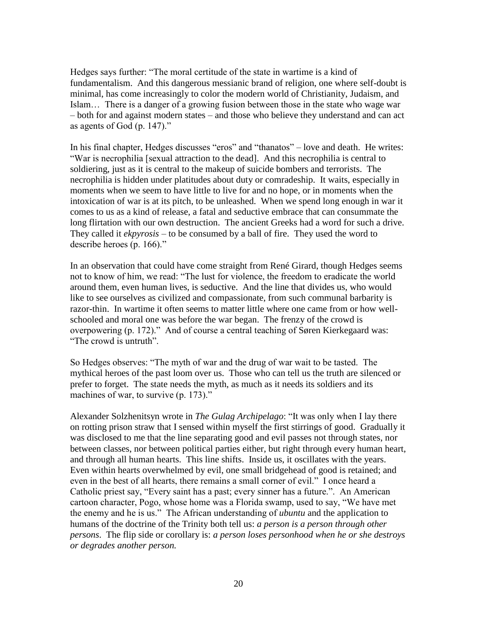Hedges says further: "The moral certitude of the state in wartime is a kind of fundamentalism. And this dangerous messianic brand of religion, one where self-doubt is minimal, has come increasingly to color the modern world of Christianity, Judaism, and Islam… There is a danger of a growing fusion between those in the state who wage war – both for and against modern states – and those who believe they understand and can act as agents of God (p. 147)."

In his final chapter, Hedges discusses "eros" and "thanatos" – love and death. He writes: "War is necrophilia [sexual attraction to the dead]. And this necrophilia is central to soldiering, just as it is central to the makeup of suicide bombers and terrorists. The necrophilia is hidden under platitudes about duty or comradeship. It waits, especially in moments when we seem to have little to live for and no hope, or in moments when the intoxication of war is at its pitch, to be unleashed. When we spend long enough in war it comes to us as a kind of release, a fatal and seductive embrace that can consummate the long flirtation with our own destruction. The ancient Greeks had a word for such a drive. They called it *ekpyrosis* – to be consumed by a ball of fire. They used the word to describe heroes (p. 166)."

In an observation that could have come straight from René Girard, though Hedges seems not to know of him, we read: "The lust for violence, the freedom to eradicate the world around them, even human lives, is seductive. And the line that divides us, who would like to see ourselves as civilized and compassionate, from such communal barbarity is razor-thin. In wartime it often seems to matter little where one came from or how wellschooled and moral one was before the war began. The frenzy of the crowd is overpowering (p. 172)." And of course a central teaching of Søren Kierkegaard was: "The crowd is untruth".

So Hedges observes: "The myth of war and the drug of war wait to be tasted. The mythical heroes of the past loom over us. Those who can tell us the truth are silenced or prefer to forget. The state needs the myth, as much as it needs its soldiers and its machines of war, to survive (p. 173)."

Alexander Solzhenitsyn wrote in *The Gulag Archipelago*: "It was only when I lay there on rotting prison straw that I sensed within myself the first stirrings of good. Gradually it was disclosed to me that the line separating good and evil passes not through states, nor between classes, nor between political parties either, but right through every human heart, and through all human hearts. This line shifts. Inside us, it oscillates with the years. Even within hearts overwhelmed by evil, one small bridgehead of good is retained; and even in the best of all hearts, there remains a small corner of evil." I once heard a Catholic priest say, "Every saint has a past; every sinner has a future.". An American cartoon character, Pogo, whose home was a Florida swamp, used to say, "We have met the enemy and he is us." The African understanding of *ubuntu* and the application to humans of the doctrine of the Trinity both tell us: *a person is a person through other persons*. The flip side or corollary is: *a person loses personhood when he or she destroys or degrades another person.*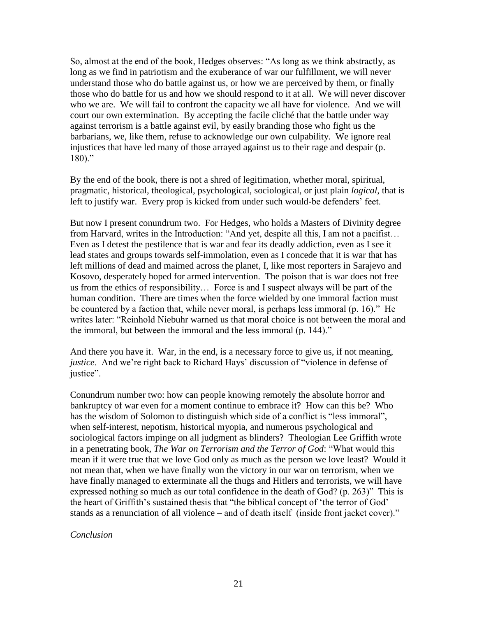So, almost at the end of the book, Hedges observes: "As long as we think abstractly, as long as we find in patriotism and the exuberance of war our fulfillment, we will never understand those who do battle against us, or how we are perceived by them, or finally those who do battle for us and how we should respond to it at all. We will never discover who we are. We will fail to confront the capacity we all have for violence. And we will court our own extermination. By accepting the facile cliché that the battle under way against terrorism is a battle against evil, by easily branding those who fight us the barbarians, we, like them, refuse to acknowledge our own culpability. We ignore real injustices that have led many of those arrayed against us to their rage and despair (p.  $180$ ."

By the end of the book, there is not a shred of legitimation, whether moral, spiritual, pragmatic, historical, theological, psychological, sociological, or just plain *logical*, that is left to justify war. Every prop is kicked from under such would-be defenders' feet.

But now I present conundrum two. For Hedges, who holds a Masters of Divinity degree from Harvard, writes in the Introduction: "And yet, despite all this, I am not a pacifist... Even as I detest the pestilence that is war and fear its deadly addiction, even as I see it lead states and groups towards self-immolation, even as I concede that it is war that has left millions of dead and maimed across the planet, I, like most reporters in Sarajevo and Kosovo, desperately hoped for armed intervention. The poison that is war does not free us from the ethics of responsibility… Force is and I suspect always will be part of the human condition. There are times when the force wielded by one immoral faction must be countered by a faction that, while never moral, is perhaps less immoral (p. 16)." He writes later: "Reinhold Niebuhr warned us that moral choice is not between the moral and the immoral, but between the immoral and the less immoral (p. 144)."

And there you have it. War, in the end, is a necessary force to give us, if not meaning, *justice*. And we're right back to Richard Hays' discussion of "violence in defense of justice".

Conundrum number two: how can people knowing remotely the absolute horror and bankruptcy of war even for a moment continue to embrace it? How can this be? Who has the wisdom of Solomon to distinguish which side of a conflict is "less immoral", when self-interest, nepotism, historical myopia, and numerous psychological and sociological factors impinge on all judgment as blinders? Theologian Lee Griffith wrote in a penetrating book, *The War on Terrorism and the Terror of God*: "What would this mean if it were true that we love God only as much as the person we love least? Would it not mean that, when we have finally won the victory in our war on terrorism, when we have finally managed to exterminate all the thugs and Hitlers and terrorists, we will have expressed nothing so much as our total confidence in the death of God? (p. 263)" This is the heart of Griffith's sustained thesis that "the biblical concept of 'the terror of God' stands as a renunciation of all violence – and of death itself (inside front jacket cover)."

### *Conclusion*